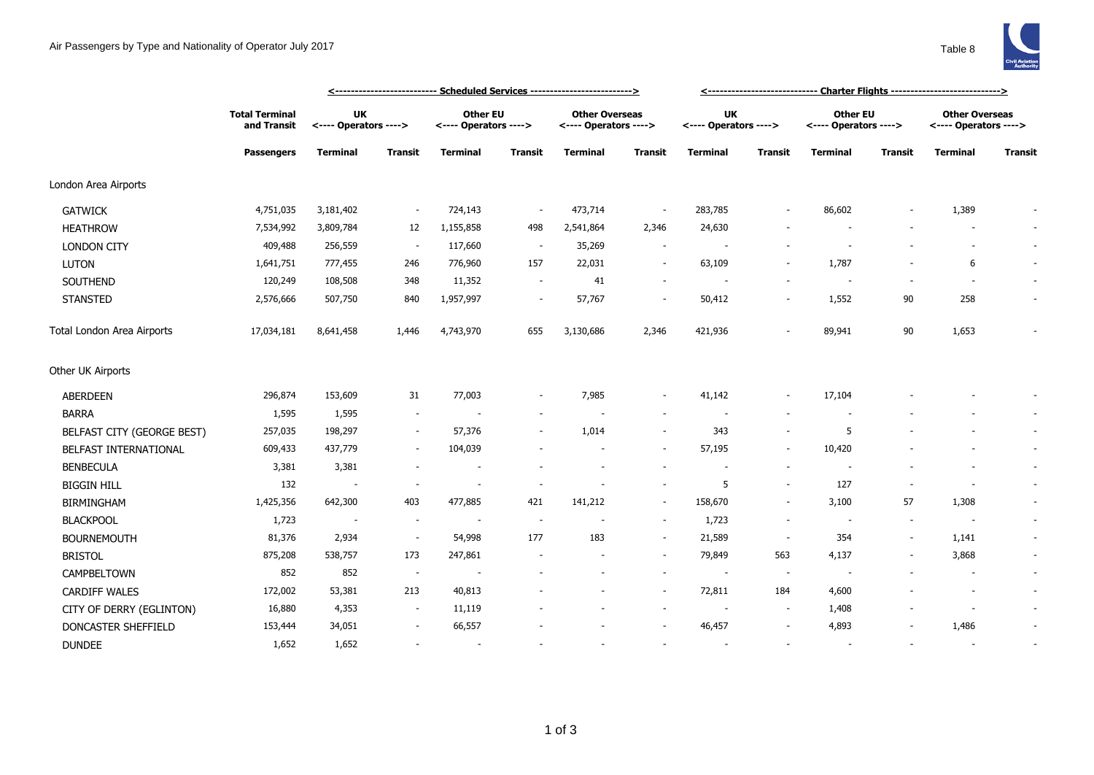

|                            |                                                           |                                    | <u> &lt;--------------------------- Scheduled Services --------------------------&gt;</u> |                                          |                          |                                                |                          |                                    |                          |                                   |                          |                                                |                          |
|----------------------------|-----------------------------------------------------------|------------------------------------|-------------------------------------------------------------------------------------------|------------------------------------------|--------------------------|------------------------------------------------|--------------------------|------------------------------------|--------------------------|-----------------------------------|--------------------------|------------------------------------------------|--------------------------|
|                            | <b>Total Terminal</b><br>and Transit<br><b>Passengers</b> | <b>UK</b><br><---- Operators ----> |                                                                                           | <b>Other EU</b><br><---- Operators ----> |                          | <b>Other Overseas</b><br><---- Operators ----> |                          | <b>UK</b><br><---- Operators ----> |                          | Other EU<br><---- Operators ----> |                          | <b>Other Overseas</b><br><---- Operators ----> |                          |
|                            |                                                           | <b>Terminal</b>                    | <b>Transit</b>                                                                            | <b>Terminal</b>                          | <b>Transit</b>           | <b>Terminal</b>                                | Transit                  | <b>Terminal</b>                    | <b>Transit</b>           | <b>Terminal</b>                   | <b>Transit</b>           | <b>Terminal</b>                                | Transit                  |
| London Area Airports       |                                                           |                                    |                                                                                           |                                          |                          |                                                |                          |                                    |                          |                                   |                          |                                                |                          |
| <b>GATWICK</b>             | 4,751,035                                                 | 3,181,402                          |                                                                                           | 724,143                                  | $\overline{\phantom{a}}$ | 473,714                                        | $\overline{\phantom{a}}$ | 283,785                            |                          | 86,602                            |                          | 1,389                                          |                          |
| <b>HEATHROW</b>            | 7,534,992                                                 | 3,809,784                          | 12                                                                                        | 1,155,858                                | 498                      | 2,541,864                                      | 2,346                    | 24,630                             |                          |                                   |                          |                                                | $\sim$                   |
| <b>LONDON CITY</b>         | 409,488                                                   | 256,559                            | $\sim$                                                                                    | 117,660                                  | $\sim$                   | 35,269                                         | $\sim$                   | $\overline{\phantom{a}}$           |                          |                                   |                          | $\sim$                                         | $\sim$                   |
| <b>LUTON</b>               | 1,641,751                                                 | 777,455                            | 246                                                                                       | 776,960                                  | 157                      | 22,031                                         | $\sim$                   | 63,109                             |                          | 1,787                             |                          | 6                                              | $\sim$                   |
| SOUTHEND                   | 120,249                                                   | 108,508                            | 348                                                                                       | 11,352                                   | $\overline{\phantom{a}}$ | 41                                             | $\overline{\phantom{a}}$ |                                    |                          |                                   |                          |                                                | $\overline{\phantom{a}}$ |
| <b>STANSTED</b>            | 2,576,666                                                 | 507,750                            | 840                                                                                       | 1,957,997                                | $\overline{\phantom{a}}$ | 57,767                                         | $\overline{\phantom{a}}$ | 50,412                             | $\overline{\phantom{a}}$ | 1,552                             | 90                       | 258                                            | $\overline{\phantom{a}}$ |
| Total London Area Airports | 17,034,181                                                | 8,641,458                          | 1,446                                                                                     | 4,743,970                                | 655                      | 3,130,686                                      | 2,346                    | 421,936                            |                          | 89,941                            | 90                       | 1,653                                          |                          |
| Other UK Airports          |                                                           |                                    |                                                                                           |                                          |                          |                                                |                          |                                    |                          |                                   |                          |                                                |                          |
| <b>ABERDEEN</b>            | 296,874                                                   | 153,609                            | 31                                                                                        | 77,003                                   |                          | 7,985                                          | $\overline{\phantom{a}}$ | 41,142                             | $\overline{\phantom{a}}$ | 17,104                            |                          |                                                |                          |
| <b>BARRA</b>               | 1,595                                                     | 1,595                              | $\sim$                                                                                    |                                          |                          |                                                | $\sim$                   | $\overline{\phantom{a}}$           |                          |                                   |                          |                                                | $\sim$                   |
| BELFAST CITY (GEORGE BEST) | 257,035                                                   | 198,297                            |                                                                                           | 57,376                                   |                          | 1,014                                          | $\overline{\phantom{a}}$ | 343                                | $\overline{\phantom{a}}$ | 5                                 |                          |                                                | $\sim$                   |
| BELFAST INTERNATIONAL      | 609,433                                                   | 437,779                            | $\sim$                                                                                    | 104,039                                  |                          |                                                | $\sim$                   | 57,195                             | $\overline{\phantom{a}}$ | 10,420                            |                          |                                                | $\sim$                   |
| <b>BENBECULA</b>           | 3,381                                                     | 3,381                              |                                                                                           | $\overline{\phantom{a}}$                 |                          |                                                |                          |                                    | $\overline{\phantom{a}}$ |                                   |                          |                                                | $\overline{\phantom{a}}$ |
| <b>BIGGIN HILL</b>         | 132                                                       | $\overline{\phantom{a}}$           |                                                                                           | $\overline{\phantom{a}}$                 |                          |                                                | $\sim$                   | 5                                  | $\overline{\phantom{a}}$ | 127                               | ۰                        |                                                | $\sim$                   |
| <b>BIRMINGHAM</b>          | 1,425,356                                                 | 642,300                            | 403                                                                                       | 477,885                                  | 421                      | 141,212                                        | $\sim$                   | 158,670                            | $\overline{\phantom{a}}$ | 3,100                             | 57                       | 1,308                                          | $\overline{\phantom{a}}$ |
| <b>BLACKPOOL</b>           | 1,723                                                     | $\sim$                             | $\overline{\phantom{a}}$                                                                  |                                          | $\overline{\phantom{a}}$ |                                                | $\sim$                   | 1,723                              | $\overline{\phantom{a}}$ | $\sim$                            | $\overline{\phantom{a}}$ | $\overline{\phantom{a}}$                       | $\sim$                   |
| <b>BOURNEMOUTH</b>         | 81,376                                                    | 2,934                              | $\sim$                                                                                    | 54,998                                   | 177                      | 183                                            | $\sim$                   | 21,589                             | $\sim$                   | 354                               | $\sim$                   | 1,141                                          | $\sim$                   |
| <b>BRISTOL</b>             | 875,208                                                   | 538,757                            | 173                                                                                       | 247,861                                  |                          |                                                | $\sim$                   | 79,849                             | 563                      | 4,137                             |                          | 3,868                                          | $\blacksquare$           |
| CAMPBELTOWN                | 852                                                       | 852                                | $\overline{\phantom{a}}$                                                                  |                                          |                          |                                                | $\sim$                   | $\overline{\phantom{a}}$           | $\sim$                   | $\overline{\phantom{a}}$          |                          |                                                | $\sim$                   |
| <b>CARDIFF WALES</b>       | 172,002                                                   | 53,381                             | 213                                                                                       | 40,813                                   |                          |                                                | $\sim$                   | 72,811                             | 184                      | 4,600                             |                          | $\sim$                                         | $\sim$                   |
| CITY OF DERRY (EGLINTON)   | 16,880                                                    | 4,353                              | $\sim$                                                                                    | 11,119                                   |                          |                                                | $\sim$                   |                                    | $\overline{\phantom{a}}$ | 1,408                             |                          |                                                | $\sim$                   |
| DONCASTER SHEFFIELD        | 153,444                                                   | 34,051                             |                                                                                           | 66,557                                   |                          |                                                |                          | 46,457                             | $\sim$                   | 4,893                             |                          | 1,486                                          |                          |
| <b>DUNDEE</b>              | 1,652                                                     | 1,652                              |                                                                                           | $\sim$                                   |                          |                                                |                          |                                    |                          | $\overline{\phantom{a}}$          |                          |                                                | $\overline{\phantom{a}}$ |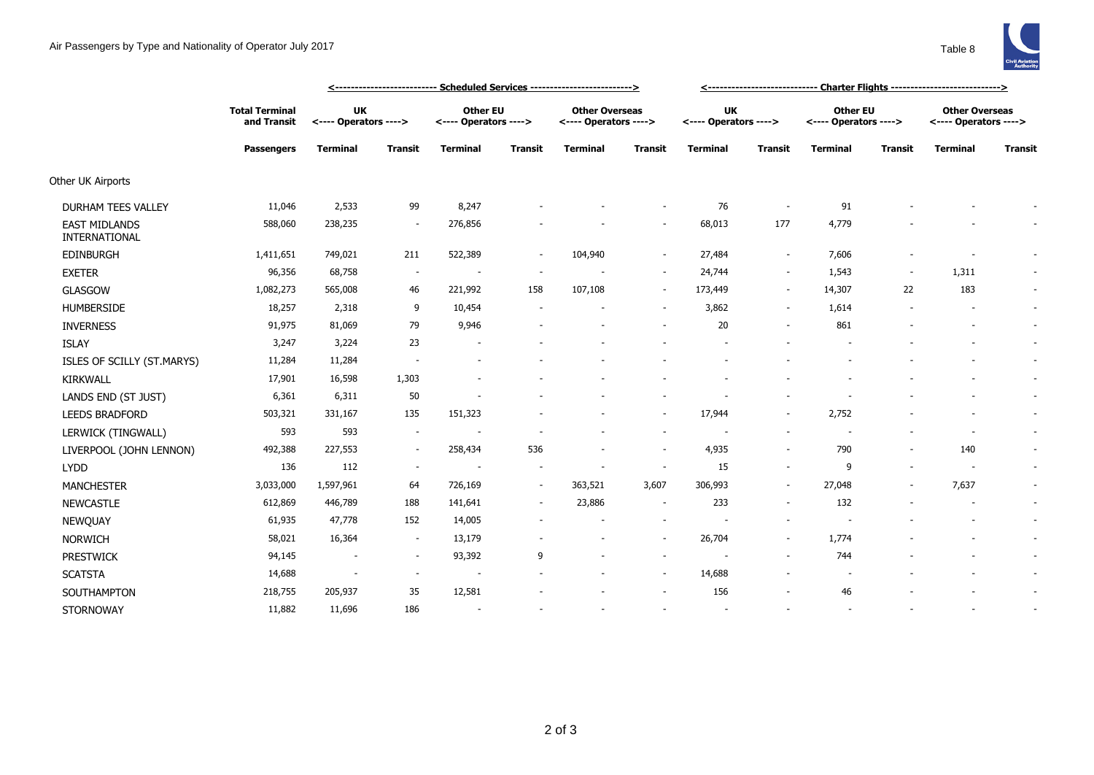

|                                       |                                      | <u> &lt;--------------------------- Scheduled Services --------------------------&gt;</u> |                          |                                          |                |                                                |                          | <u>&lt;------------------------------  Charter Flights ----------------------------&gt;</u> |                          |                                          |                          |                                                |                |
|---------------------------------------|--------------------------------------|-------------------------------------------------------------------------------------------|--------------------------|------------------------------------------|----------------|------------------------------------------------|--------------------------|---------------------------------------------------------------------------------------------|--------------------------|------------------------------------------|--------------------------|------------------------------------------------|----------------|
|                                       | <b>Total Terminal</b><br>and Transit | <b>UK</b><br><---- Operators ---->                                                        |                          | <b>Other EU</b><br><---- Operators ----> |                | <b>Other Overseas</b><br><---- Operators ----> |                          | <b>UK</b><br><---- Operators ---->                                                          |                          | <b>Other EU</b><br><---- Operators ----> |                          | <b>Other Overseas</b><br><---- Operators ----> |                |
|                                       | <b>Passengers</b>                    | <b>Terminal</b>                                                                           | <b>Transit</b>           | <b>Terminal</b>                          | <b>Transit</b> | <b>Terminal</b>                                | <b>Transit</b>           | <b>Terminal</b>                                                                             | <b>Transit</b>           | <b>Terminal</b>                          | <b>Transit</b>           | <b>Terminal</b>                                | <b>Transit</b> |
| Other UK Airports                     |                                      |                                                                                           |                          |                                          |                |                                                |                          |                                                                                             |                          |                                          |                          |                                                |                |
| <b>DURHAM TEES VALLEY</b>             | 11,046                               | 2,533                                                                                     | 99                       | 8,247                                    |                |                                                | $\overline{\phantom{a}}$ | 76                                                                                          |                          | 91                                       |                          |                                                |                |
| <b>EAST MIDLANDS</b><br>INTERNATIONAL | 588,060                              | 238,235                                                                                   | $\overline{\phantom{a}}$ | 276,856                                  |                |                                                | $\overline{\phantom{a}}$ | 68,013                                                                                      | 177                      | 4,779                                    |                          |                                                |                |
| <b>EDINBURGH</b>                      | 1,411,651                            | 749,021                                                                                   | 211                      | 522,389                                  |                | 104,940                                        | $\sim$                   | 27,484                                                                                      | $\overline{\phantom{a}}$ | 7,606                                    |                          |                                                |                |
| <b>EXETER</b>                         | 96,356                               | 68,758                                                                                    | $\sim$                   |                                          |                |                                                | $\overline{\phantom{a}}$ | 24,744                                                                                      | $\sim$                   | 1,543                                    | $\overline{\phantom{a}}$ | 1,311                                          |                |
| <b>GLASGOW</b>                        | 1,082,273                            | 565,008                                                                                   | 46                       | 221,992                                  | 158            | 107,108                                        | $\overline{\phantom{a}}$ | 173,449                                                                                     | $\overline{\phantom{a}}$ | 14,307                                   | 22                       | 183                                            |                |
| <b>HUMBERSIDE</b>                     | 18,257                               | 2,318                                                                                     | 9                        | 10,454                                   |                |                                                | $\overline{\phantom{a}}$ | 3,862                                                                                       | $\overline{\phantom{a}}$ | 1,614                                    |                          | $\overline{a}$                                 | $\sim$         |
| <b>INVERNESS</b>                      | 91,975                               | 81,069                                                                                    | 79                       | 9,946                                    |                |                                                | $\sim$                   | 20                                                                                          | $\sim$                   | 861                                      |                          | ٠                                              |                |
| <b>ISLAY</b>                          | 3,247                                | 3,224                                                                                     | 23                       |                                          |                |                                                |                          |                                                                                             |                          |                                          |                          |                                                |                |
| ISLES OF SCILLY (ST.MARYS)            | 11,284                               | 11,284                                                                                    | $\overline{\phantom{a}}$ |                                          |                |                                                |                          |                                                                                             |                          |                                          |                          |                                                | $\sim$         |
| KIRKWALL                              | 17,901                               | 16,598                                                                                    | 1,303                    |                                          |                |                                                |                          |                                                                                             |                          |                                          |                          |                                                |                |
| LANDS END (ST JUST)                   | 6,361                                | 6,311                                                                                     | 50                       |                                          |                |                                                | $\overline{\phantom{a}}$ |                                                                                             |                          |                                          |                          |                                                | $\sim$         |
| <b>LEEDS BRADFORD</b>                 | 503,321                              | 331,167                                                                                   | 135                      | 151,323                                  |                |                                                | $\overline{\phantom{a}}$ | 17,944                                                                                      | $\overline{\phantom{a}}$ | 2,752                                    |                          | $\overline{a}$                                 | $\sim$         |
| LERWICK (TINGWALL)                    | 593                                  | 593                                                                                       | $\sim$                   |                                          |                |                                                | $\sim$                   |                                                                                             | $\overline{\phantom{a}}$ |                                          |                          | $\overline{\phantom{a}}$                       |                |
| LIVERPOOL (JOHN LENNON)               | 492,388                              | 227,553                                                                                   | $\sim$                   | 258,434                                  | 536            |                                                | $\overline{\phantom{a}}$ | 4,935                                                                                       | $\sim$                   | 790                                      | $\overline{\phantom{a}}$ | 140                                            |                |
| <b>LYDD</b>                           | 136                                  | 112                                                                                       | $\sim$                   | $\sim$                                   |                |                                                | $\overline{\phantom{a}}$ | 15                                                                                          | $\sim$                   | 9                                        | $\overline{\phantom{a}}$ | $\overline{\phantom{a}}$                       | $\sim$         |
| <b>MANCHESTER</b>                     | 3,033,000                            | 1,597,961                                                                                 | 64                       | 726,169                                  | $\sim$         | 363,521                                        | 3,607                    | 306,993                                                                                     | $\overline{\phantom{a}}$ | 27,048                                   |                          | 7,637                                          |                |
| <b>NEWCASTLE</b>                      | 612,869                              | 446,789                                                                                   | 188                      | 141,641                                  | $\sim$         | 23,886                                         | $\sim$                   | 233                                                                                         | $\sim$                   | 132                                      |                          | $\overline{\phantom{a}}$                       | $\sim$         |
| NEWQUAY                               | 61,935                               | 47,778                                                                                    | 152                      | 14,005                                   |                |                                                | $\sim$                   |                                                                                             | $\overline{\phantom{a}}$ |                                          |                          |                                                | $\sim$         |
| <b>NORWICH</b>                        | 58,021                               | 16,364                                                                                    | $\sim$                   | 13,179                                   |                |                                                | $\overline{\phantom{a}}$ | 26,704                                                                                      | $\overline{\phantom{a}}$ | 1,774                                    |                          |                                                |                |
| <b>PRESTWICK</b>                      | 94,145                               | $\overline{\phantom{a}}$                                                                  | $\sim$                   | 93,392                                   | 9              |                                                | $\overline{\phantom{a}}$ |                                                                                             | $\sim$                   | 744                                      |                          |                                                |                |
| <b>SCATSTA</b>                        | 14,688                               | $\overline{\phantom{a}}$                                                                  | $\sim$                   | $\overline{\phantom{a}}$                 |                |                                                | $\overline{\phantom{a}}$ | 14,688                                                                                      |                          |                                          |                          |                                                |                |
| SOUTHAMPTON                           | 218,755                              | 205,937                                                                                   | 35                       | 12,581                                   |                |                                                | $\overline{\phantom{a}}$ | 156                                                                                         |                          | 46                                       |                          |                                                |                |
| <b>STORNOWAY</b>                      | 11,882                               | 11,696                                                                                    | 186                      |                                          |                |                                                | $\overline{\phantom{a}}$ |                                                                                             |                          |                                          |                          |                                                |                |